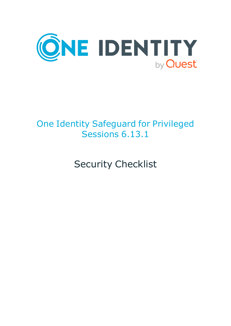

# One Identity Safeguard for Privileged Sessions 6.13.1

Security Checklist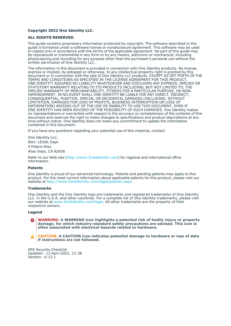### **Copyright 2022 One Identity LLC.**

### **ALL RIGHTS RESERVED.**

This guide contains proprietary information protected by copyright. The software described in this guide is furnished under a software license or nondisclosure agreement. This software may be used or copied only in accordance with the terms of the applicable agreement. No part of this guide may be reproduced or transmitted in any form or by any means, electronic or mechanical, including photocopying and recording for any purpose other than the purchaser's personal use without the written permission of One Identity LLC .

The information in this document is provided in connection with One Identity products. No license, express or implied, by estoppel or otherwise, to any intellectual property right is granted by this document or in connection with the sale of One Identity LLC products. EXCEPT AS SET FORTH IN THE TERMS AND CONDITIONS AS SPECIFIED IN THE LICENSE AGREEMENT FOR THIS PRODUCT, ONE IDENTITY ASSUMES NO LIABILITY WHATSOEVER AND DISCLAIMS ANY EXPRESS, IMPLIED OR STATUTORY WARRANTY RELATING TO ITS PRODUCTS INCLUDING, BUT NOT LIMITED TO, THE IMPLIED WARRANTY OF MERCHANTABILITY, FITNESS FOR A PARTICULAR PURPOSE, OR NON-INFRINGEMENT. IN NO EVENT SHALL ONE IDENTITY BE LIABLE FOR ANY DIRECT, INDIRECT, CONSEQUENTIAL, PUNITIVE, SPECIAL OR INCIDENTAL DAMAGES (INCLUDING, WITHOUT LIMITATION, DAMAGES FOR LOSS OF PROFITS, BUSINESS INTERRUPTION OR LOSS OF INFORMATION) ARISING OUT OF THE USE OR INABILITY TO USE THIS DOCUMENT, EVEN IF ONE IDENTITY HAS BEEN ADVISED OF THE POSSIBILITY OF SUCH DAMAGES. One Identity makes no representations or warranties with respect to the accuracy or completeness of the contents of this document and reserves the right to make changes to specifications and product descriptions at any time without notice. One Identity does not make any commitment to update the information contained in this document.

If you have any questions regarding your potential use of this material, contact:

One Identity LLC. Attn: LEGAL Dept 4 Polaris Way Aliso Viejo, CA 92656

Refer to our Web site [\(http://www.OneIdentity.com](http://www.oneidentity.com/)) for regional and international office information.

### **Patents**

One Identity is proud of our advanced technology. Patents and pending patents may apply to this product. For the most current information about applicable patents for this product, please visit our website at [http://www.OneIdentity.com/legal/patents.aspx.](http://www.oneidentity.com/legal/patents.aspx)

#### **Trademarks**

One Identity and the One Identity logo are trademarks and registered trademarks of One Identity LLC. in the U.S.A. and other countries. For a complete list of One Identity trademarks, please visit our website at [www.OneIdentity.com/legal](http://www.oneidentity.com/legal). All other trademarks are the property of their respective owners.

#### **Legend**

**WARNING: A WARNING icon highlights a potential risk of bodily injury or property** œ **damage, for which industry-standard safety precautions are advised. This icon is often associated with electrical hazards related to hardware.**

**CAUTION: A CAUTION icon indicates potential damage to hardware or loss of data if instructions are not followed.**

SPS Security Checklist Updated - 12 April 2022, 12:38 Version - 6.13.1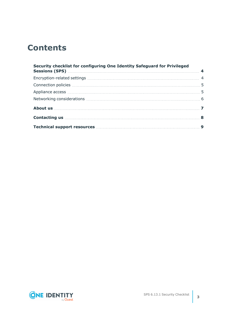## **Contents**

| Security checklist for configuring One Identity Safeguard for Privileged |  |
|--------------------------------------------------------------------------|--|
|                                                                          |  |
|                                                                          |  |
|                                                                          |  |
|                                                                          |  |
|                                                                          |  |
|                                                                          |  |
|                                                                          |  |

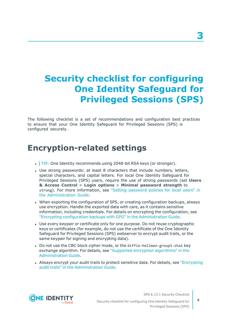## <span id="page-3-0"></span>**Security checklist for configuring One Identity Safeguard for Privileged Sessions (SPS)**

The following checklist is a set of recommendations and configuration best practices to ensure that your One Identity Safeguard for Privileged Sessions (SPS) is configured securely.

### <span id="page-3-1"></span>**Encryption-related settings**

- $\cdot$  TIP: One Identity recommends using 2048-bit RSA keys (or stronger).
- Use strong passwords: at least 8 characters that include numbers, letters, special characters, and capital letters. For local One Identity Safeguard for Privileged Sessions (SPS) users, require the use of strong passwords (set **Users & Access Control** > **Login options** > **Minimal password strength** to strong). For more information, see "Setting [password](https://support.oneidentity.com/technical-documents/safeguard-for-privileged-sessions/6.13.1/administration-guide/user-management-and-access-control/setting-password-policies-for-local-users/) policies for local users" in the [Administration](https://support.oneidentity.com/technical-documents/safeguard-for-privileged-sessions/6.13.1/administration-guide/user-management-and-access-control/setting-password-policies-for-local-users/) Guide.
- When exporting the configuration of SPS, or creating configuration backups, always use encryption. Handle the exported data with care, as it contains sensitive information, including credentials. For details on encrypting the configuration, see "Encrypting configuration backups with GPG" in the [Administration](https://support.oneidentity.com/technical-documents/safeguard-for-privileged-sessions/6.13.1/administration-guide/basic-settings/data-and-configuration-backups/encrypting-configuration-backups-with-gpg/) Guide.
- Use every keypair or certificate only for one purpose. Do not reuse cryptographic keys or certificates (for example, do not use the certificate of the One Identity Safeguard for Privileged Sessions (SPS) webserver to encrypt audit trails, or the same keypair for signing and encrypting data).
- Do not use the CBC block cipher mode, or the diffie-hellman-group1-sha1 key exchange algorithm. For details, see "Supported encryption [algorithms"](https://support.oneidentity.com/technical-documents/safeguard-for-privileged-sessions/6.13.1/administration-guide/ssh-specific-settings/supported-encryption-algorithms/) in the [Administration](https://support.oneidentity.com/technical-documents/safeguard-for-privileged-sessions/6.13.1/administration-guide/ssh-specific-settings/supported-encryption-algorithms/) Guide.
- Always encrypt your audit trails to protect sensitive data. For details, see ["Encrypting](https://support.oneidentity.com/technical-documents/safeguard-for-privileged-sessions/6.13.1/administration-guide/general-connection-settings/audit-policies/encrypting-audit-trails/)" audit trails" in the [Administration](https://support.oneidentity.com/technical-documents/safeguard-for-privileged-sessions/6.13.1/administration-guide/general-connection-settings/audit-policies/encrypting-audit-trails/) Guide.



SPS 6.13.1 Security Checklist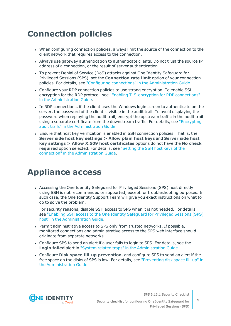## <span id="page-4-0"></span>**Connection policies**

- When configuring connection policies, always limit the source of the connection to the client network that requires access to the connection.
- Always use gateway authentication to authenticate clients. Do not trust the source IP address of a connection, or the result of server authentication.
- To prevent Denial of Service (DoS) attacks against One Identity Safeguard for Privileged Sessions (SPS), set the **Connection rate limit** option of your connection policies. For details, see "Configuring connections" in the [Administration](https://support.oneidentity.com/technical-documents/safeguard-for-privileged-sessions/6.13.1/administration-guide/general-connection-settings/configuring-connections/) Guide.
- Configure your RDP connection policies to use strong encryption. To enable SSLencryption for the RDP protocol, see "Enabling [TLS-encryption](https://support.oneidentity.com/technical-documents/safeguard-for-privileged-sessions/6.13.1/administration-guide/rdp-specific-settings/enabling-tls-encryption-for-rdp-connections/) for RDP connections" in the [Administration](https://support.oneidentity.com/technical-documents/safeguard-for-privileged-sessions/6.13.1/administration-guide/rdp-specific-settings/enabling-tls-encryption-for-rdp-connections/) Guide.
- In RDP connections, if the client uses the Windows login screen to authenticate on the server, the password of the client is visible in the audit trail. To avoid displaying the password when replaying the audit trail, encrypt the upstream traffic in the audit trail using a separate certificate from the downstream traffic. For details, see ["Encrypting](https://support.oneidentity.com/technical-documents/safeguard-for-privileged-sessions/6.13.1/administration-guide/general-connection-settings/audit-policies/encrypting-audit-trails/) audit trails" in the [Administration](https://support.oneidentity.com/technical-documents/safeguard-for-privileged-sessions/6.13.1/administration-guide/general-connection-settings/audit-policies/encrypting-audit-trails/) Guide.
- Ensure that host key verification is enabled in SSH connection policies. That is, the **Server side host key settings > Allow plain host keys** and **Server side host key settings > Allow X.509 host certificates** options do not have the **No check required** option selected. For details, see ["Setting](https://support.oneidentity.com/technical-documents/safeguard-for-privileged-sessions/6.13.1/administration-guide/ssh-specific-settings/setting-the-ssh-host-keys--of-the-connection/) the SSH host keys of the connection" in the [Administration](https://support.oneidentity.com/technical-documents/safeguard-for-privileged-sessions/6.13.1/administration-guide/ssh-specific-settings/setting-the-ssh-host-keys--of-the-connection/) Guide.

### <span id="page-4-1"></span>**Appliance access**

• Accessing the One Identity Safeguard for Privileged Sessions (SPS) host directly using SSH is not recommended or supported, except for troubleshooting purposes. In such case, the One Identity Support Team will give you exact instructions on what to do to solve the problem.

For security reasons, disable SSH access to SPS when it is not needed. For details, see "Enabling SSH access to the One Identity [Safeguard](https://support.oneidentity.com/technical-documents/safeguard-for-privileged-sessions/6.13.1/administration-guide/managing-one-identity-safeguard-for-privileged-sessions-sps/accessing-the-one-identity-safeguard-for-privileged-sessions-sps-console/enabling-ssh-access-to-the-one-identity-safeguard-for-privileged-sessions-sps-host/) for Privileged Sessions (SPS) host" in the [Administration](https://support.oneidentity.com/technical-documents/safeguard-for-privileged-sessions/6.13.1/administration-guide/managing-one-identity-safeguard-for-privileged-sessions-sps/accessing-the-one-identity-safeguard-for-privileged-sessions-sps-console/enabling-ssh-access-to-the-one-identity-safeguard-for-privileged-sessions-sps-host/) Guide.

- Permit administrative access to SPS only from trusted networks. If possible, monitored connections and administrative access to the SPS web interface should originate from separate networks.
- Configure SPS to send an alert if a user fails to login to SPS. For details, see the **Login failed** alert in "System related traps" in the [Administration](https://support.oneidentity.com/technical-documents/safeguard-for-privileged-sessions/6.13.1/administration-guide/basic-settings/configuring-system-monitoring-on-sps/system-related-traps/) Guide.
- <sup>l</sup> Configure **Disk space fill-up prevention**, and configure SPS to send an alert if the free space on the disks of SPS is low. For details, see ["Preventing](https://support.oneidentity.com/technical-documents/safeguard-for-privileged-sessions/6.13.1/administration-guide/basic-settings/configuring-system-monitoring-on-sps/preventing-disk-space-fill-up/) disk space fill-up" in the [Administration](https://support.oneidentity.com/technical-documents/safeguard-for-privileged-sessions/6.13.1/administration-guide/basic-settings/configuring-system-monitoring-on-sps/preventing-disk-space-fill-up/) Guide.



SPS 6.13.1 Security Checklist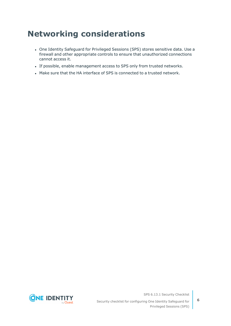## <span id="page-5-0"></span>**Networking considerations**

- One Identity Safeguard for Privileged Sessions (SPS) stores sensitive data. Use a firewall and other appropriate controls to ensure that unauthorized connections cannot access it.
- If possible, enable management access to SPS only from trusted networks.
- . Make sure that the HA interface of SPS is connected to a trusted network.



SPS 6.13.1 Security Checklist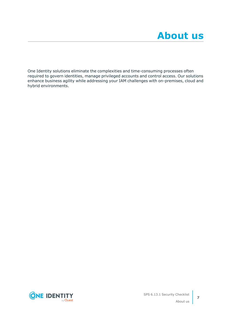<span id="page-6-0"></span>One Identity solutions eliminate the complexities and time-consuming processes often required to govern identities, manage privileged accounts and control access. Our solutions enhance business agility while addressing your IAM challenges with on-premises, cloud and hybrid environments.

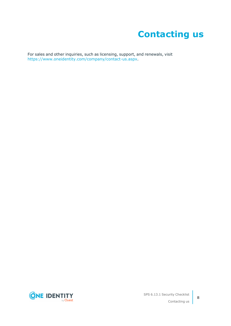# **Contacting us**

<span id="page-7-0"></span>For sales and other inquiries, such as licensing, support, and renewals, visit [https://www.oneidentity.com/company/contact-us.aspx.](https://www.oneidentity.com/company/contact-us.aspx)

**ONE IDENTITY** by **Quest**